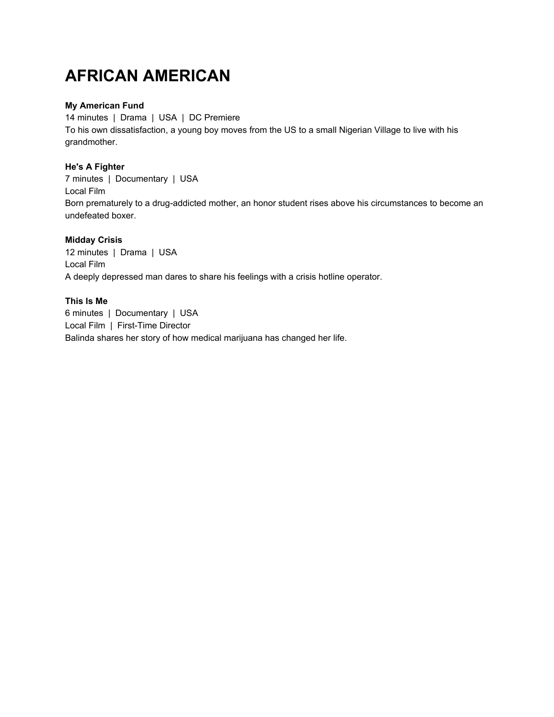## **AFRICAN AMERICAN**

## **My American Fund**

14 minutes | Drama | USA | DC Premiere To his own dissatisfaction, a young boy moves from the US to a small Nigerian Village to live with his grandmother.

## **He's A Fighter**

7 minutes | Documentary | USA Local Film Born prematurely to a drug-addicted mother, an honor student rises above his circumstances to become an undefeated boxer.

## **Midday Crisis**

12 minutes | Drama | USA Local Film A deeply depressed man dares to share his feelings with a crisis hotline operator.

## **This Is Me**

6 minutes | Documentary | USA Local Film | First-Time Director Balinda shares her story of how medical marijuana has changed her life.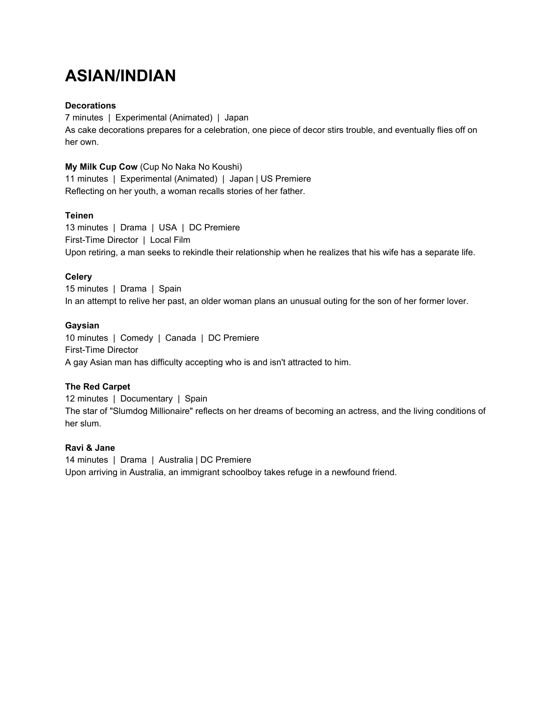## **ASIAN/INDIAN**

## **Decorations**

7 minutes | Experimental (Animated) | Japan As cake decorations prepares for a celebration, one piece of decor stirs trouble, and eventually flies off on her own.

## **My Milk Cup Cow** (Cup No Naka No Koushi)

11 minutes | Experimental (Animated) | Japan | US Premiere Reflecting on her youth, a woman recalls stories of her father.

## **Teinen**

13 minutes | Drama | USA | DC Premiere First-Time Director | Local Film Upon retiring, a man seeks to rekindle their relationship when he realizes that his wife has a separate life.

## **Celery**

15 minutes | Drama | Spain In an attempt to relive her past, an older woman plans an unusual outing for the son of her former lover.

## **Gaysian**

10 minutes | Comedy | Canada | DC Premiere First-Time Director A gay Asian man has difficulty accepting who is and isn't attracted to him.

## **The Red Carpet**

12 minutes | Documentary | Spain The star of "Slumdog Millionaire" reflects on her dreams of becoming an actress, and the living conditions of her slum.

## **Ravi & Jane**

14 minutes | Drama | Australia | DC Premiere Upon arriving in Australia, an immigrant schoolboy takes refuge in a newfound friend.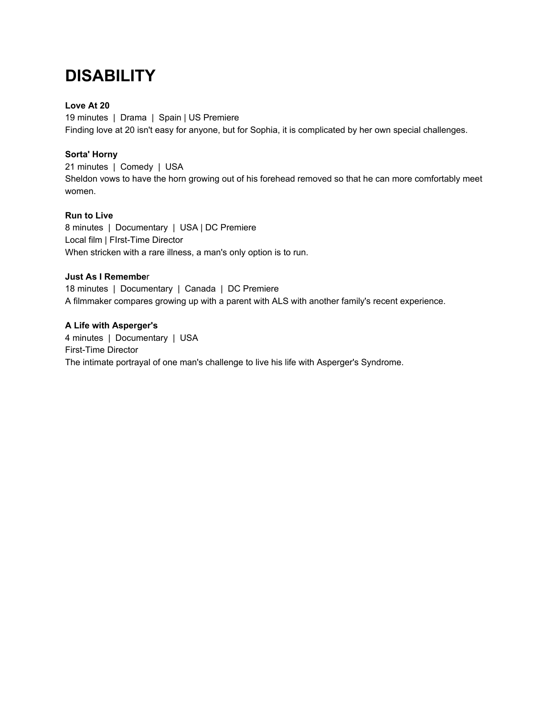## **DISABILITY**

## **Love At 20**

19 minutes | Drama | Spain | US Premiere Finding love at 20 isn't easy for anyone, but for Sophia, it is complicated by her own special challenges.

## **Sorta' Horny**

21 minutes | Comedy | USA Sheldon vows to have the horn growing out of his forehead removed so that he can more comfortably meet women.

## **Run to Live**

8 minutes | Documentary | USA | DC Premiere Local film | FIrst-Time Director When stricken with a rare illness, a man's only option is to run.

## **Just As I Remembe**r

18 minutes | Documentary | Canada | DC Premiere A filmmaker compares growing up with a parent with ALS with another family's recent experience.

## **A Life with Asperger's**

4 minutes | Documentary | USA First-Time Director The intimate portrayal of one man's challenge to live his life with Asperger's Syndrome.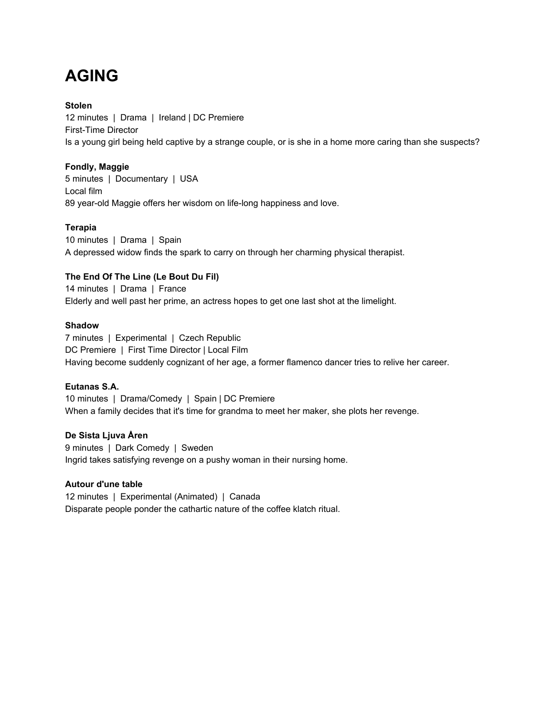# **AGING**

## **Stolen**

12 minutes | Drama | Ireland | DC Premiere First-Time Director Is a young girl being held captive by a strange couple, or is she in a home more caring than she suspects?

## **Fondly, Maggie**

5 minutes | Documentary | USA Local film 89 year-old Maggie offers her wisdom on life-long happiness and love.

## **Terapia**

10 minutes | Drama | Spain A depressed widow finds the spark to carry on through her charming physical therapist.

## **The End Of The Line (Le Bout Du Fil)**

14 minutes | Drama | France Elderly and well past her prime, an actress hopes to get one last shot at the limelight.

## **Shadow**

7 minutes | Experimental | Czech Republic DC Premiere | First Time Director | Local Film Having become suddenly cognizant of her age, a former flamenco dancer tries to relive her career.

## **Eutanas S.A.**

10 minutes | Drama/Comedy | Spain | DC Premiere When a family decides that it's time for grandma to meet her maker, she plots her revenge.

## **De Sista Ljuva Åren**

9 minutes | Dark Comedy | Sweden Ingrid takes satisfying revenge on a pushy woman in their nursing home.

## **Autour d'une table**

12 minutes | Experimental (Animated) | Canada Disparate people ponder the cathartic nature of the coffee klatch ritual.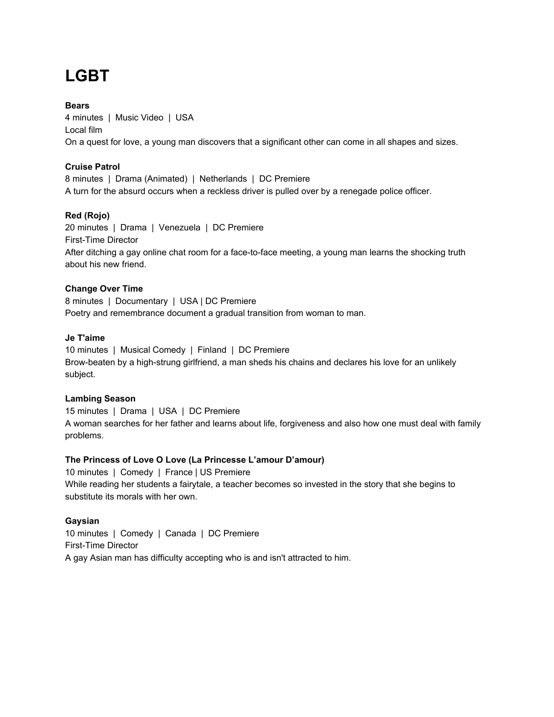# **LGBT**

## **Bears**

4 minutes | Music Video | USA Local film On a quest for love, a young man discovers that a significant other can come in all shapes and sizes.

## **Cruise Patrol**

8 minutes | Drama (Animated) | Netherlands | DC Premiere A turn for the absurd occurs when a reckless driver is pulled over by a renegade police officer.

## **Red (Rojo)**

20 minutes | Drama | Venezuela | DC Premiere First-Time Director After ditching a gay online chat room for a face-to-face meeting, a young man learns the shocking truth about his new friend.

## **Change Over Time**

8 minutes | Documentary | USA | DC Premiere Poetry and remembrance document a gradual transition from woman to man.

## **Je T'aime**

10 minutes | Musical Comedy | Finland | DC Premiere Brow-beaten by a high-strung girlfriend, a man sheds his chains and declares his love for an unlikely subject.

#### **Lambing Season**

15 minutes | Drama | USA | DC Premiere A woman searches for her father and learns about life, forgiveness and also how one must deal with family problems.

#### **The Princess of Love O Love (La Princesse L'amour D'amour)**

10 minutes | Comedy | France | US Premiere While reading her students a fairytale, a teacher becomes so invested in the story that she begins to substitute its morals with her own.

#### **Gaysian**

10 minutes | Comedy | Canada | DC Premiere First-Time Director A gay Asian man has difficulty accepting who is and isn't attracted to him.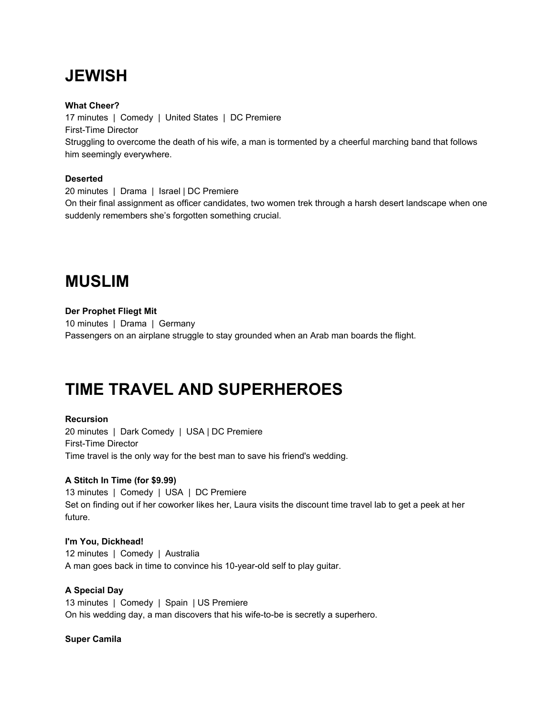# **JEWISH**

## **What Cheer?**

17 minutes | Comedy | United States | DC Premiere First-Time Director Struggling to overcome the death of his wife, a man is tormented by a cheerful marching band that follows him seemingly everywhere.

## **Deserted**

20 minutes | Drama | Israel | DC Premiere On their final assignment as officer candidates, two women trek through a harsh desert landscape when one suddenly remembers she's forgotten something crucial.

## **MUSLIM**

## **Der Prophet Fliegt Mit**

10 minutes | Drama | Germany Passengers on an airplane struggle to stay grounded when an Arab man boards the flight.

## **TIME TRAVEL AND SUPERHEROES**

## **Recursion**

20 minutes | Dark Comedy | USA | DC Premiere First-Time Director Time travel is the only way for the best man to save his friend's wedding.

## **A Stitch In Time (for \$9.99)**

13 minutes | Comedy | USA | DC Premiere Set on finding out if her coworker likes her, Laura visits the discount time travel lab to get a peek at her future.

#### **I'm You, Dickhead!**

12 minutes | Comedy | Australia A man goes back in time to convince his 10-year-old self to play guitar.

## **A Special Day**

13 minutes | Comedy | Spain | US Premiere On his wedding day, a man discovers that his wife-to-be is secretly a superhero.

#### **Super Camila**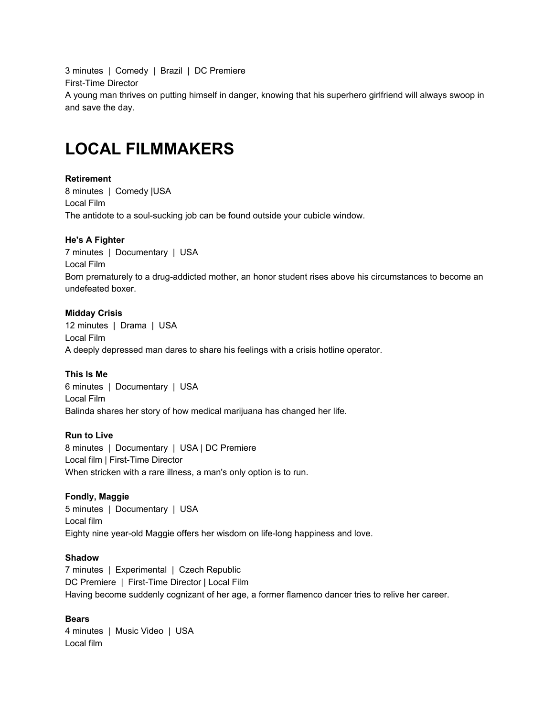3 minutes | Comedy | Brazil | DC Premiere First-Time Director A young man thrives on putting himself in danger, knowing that his superhero girlfriend will always swoop in and save the day.

## **LOCAL FILMMAKERS**

## **Retirement**

8 minutes | Comedy |USA Local Film The antidote to a soul-sucking job can be found outside your cubicle window.

## **He's A Fighter**

7 minutes | Documentary | USA Local Film Born prematurely to a drug-addicted mother, an honor student rises above his circumstances to become an undefeated boxer.

## **Midday Crisis**

12 minutes | Drama | USA Local Film A deeply depressed man dares to share his feelings with a crisis hotline operator.

## **This Is Me**

6 minutes | Documentary | USA Local Film Balinda shares her story of how medical marijuana has changed her life.

#### **Run to Live**

8 minutes | Documentary | USA | DC Premiere Local film | First-Time Director When stricken with a rare illness, a man's only option is to run.

#### **Fondly, Maggie**

5 minutes | Documentary | USA Local film Eighty nine year-old Maggie offers her wisdom on life-long happiness and love.

## **Shadow**

7 minutes | Experimental | Czech Republic DC Premiere | First-Time Director | Local Film Having become suddenly cognizant of her age, a former flamenco dancer tries to relive her career.

#### **Bears**

4 minutes | Music Video | USA Local film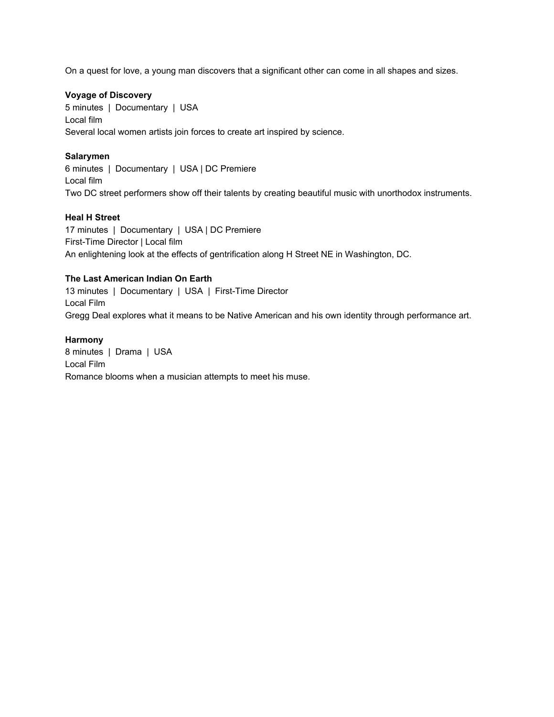On a quest for love, a young man discovers that a significant other can come in all shapes and sizes.

## **Voyage of Discovery**

5 minutes | Documentary | USA Local film Several local women artists join forces to create art inspired by science.

## **Salarymen**

6 minutes | Documentary | USA | DC Premiere Local film Two DC street performers show off their talents by creating beautiful music with unorthodox instruments.

## **Heal H Street**

17 minutes | Documentary | USA | DC Premiere First-Time Director | Local film An enlightening look at the effects of gentrification along H Street NE in Washington, DC.

## **The Last American Indian On Earth**

13 minutes | Documentary | USA | First-Time Director Local Film Gregg Deal explores what it means to be Native American and his own identity through performance art.

## **Harmony**

8 minutes | Drama | USA Local Film Romance blooms when a musician attempts to meet his muse.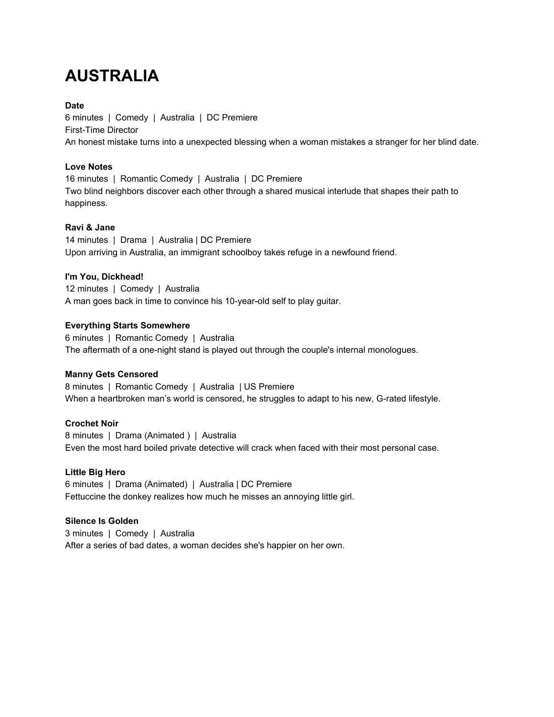# **AUSTRALIA**

## **Date**

6 minutes | Comedy | Australia | DC Premiere First-Time Director An honest mistake turns into a unexpected blessing when a woman mistakes a stranger for her blind date.

## **Love Notes**

16 minutes | Romantic Comedy | Australia | DC Premiere Two blind neighbors discover each other through a shared musical interlude that shapes their path to happiness.

## **Ravi & Jane**

14 minutes | Drama | Australia | DC Premiere Upon arriving in Australia, an immigrant schoolboy takes refuge in a newfound friend.

## **I'm You, Dickhead!**

12 minutes | Comedy | Australia A man goes back in time to convince his 10-year-old self to play guitar.

## **Everything Starts Somewhere**

6 minutes | Romantic Comedy | Australia The aftermath of a one-night stand is played out through the couple's internal monologues.

## **Manny Gets Censored**

8 minutes | Romantic Comedy | Australia | US Premiere When a heartbroken man's world is censored, he struggles to adapt to his new, G-rated lifestyle.

## **Crochet Noir**

8 minutes | Drama (Animated ) | Australia Even the most hard boiled private detective will crack when faced with their most personal case.

#### **Little Big Hero**

6 minutes | Drama (Animated) | Australia | DC Premiere Fettuccine the donkey realizes how much he misses an annoying little girl.

## **Silence Is Golden**

3 minutes | Comedy | Australia After a series of bad dates, a woman decides she's happier on her own.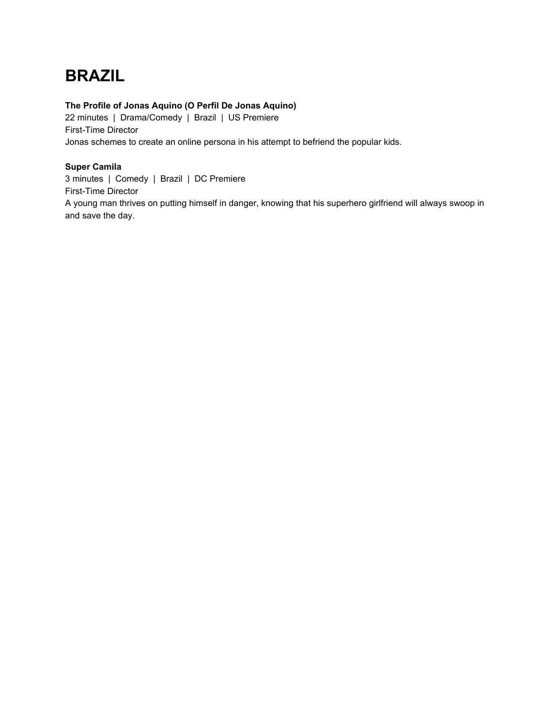# **BRAZIL**

## **The Profile of Jonas Aquino (O Perfil De Jonas Aquino)**

22 minutes | Drama/Comedy | Brazil | US Premiere First-Time Director Jonas schemes to create an online persona in his attempt to befriend the popular kids.

## **Super Camila**

3 minutes | Comedy | Brazil | DC Premiere First-Time Director A young man thrives on putting himself in danger, knowing that his superhero girlfriend will always swoop in and save the day.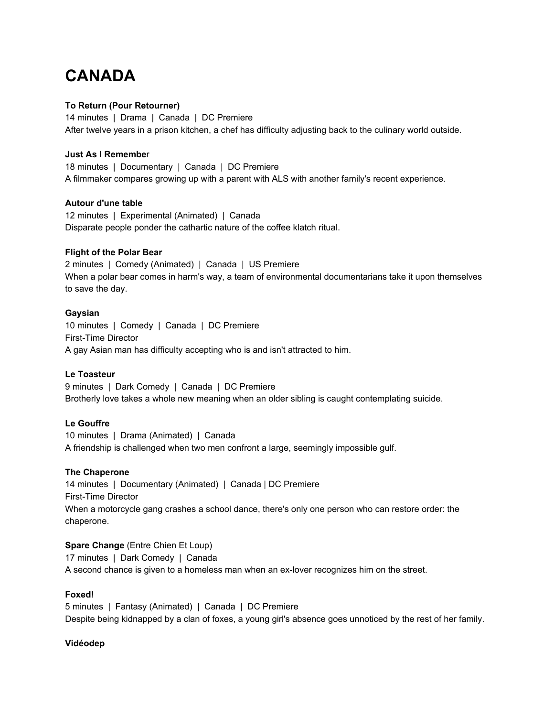## **CANADA**

## **To Return (Pour Retourner)**

14 minutes | Drama | Canada | DC Premiere After twelve years in a prison kitchen, a chef has difficulty adjusting back to the culinary world outside.

## **Just As I Remembe**r

18 minutes | Documentary | Canada | DC Premiere A filmmaker compares growing up with a parent with ALS with another family's recent experience.

## **Autour d'une table**

12 minutes | Experimental (Animated) | Canada Disparate people ponder the cathartic nature of the coffee klatch ritual.

## **Flight of the Polar Bear**

2 minutes | Comedy (Animated) | Canada | US Premiere When a polar bear comes in harm's way, a team of environmental documentarians take it upon themselves to save the day.

## **Gaysian**

10 minutes | Comedy | Canada | DC Premiere First-Time Director A gay Asian man has difficulty accepting who is and isn't attracted to him.

#### **Le Toasteur**

9 minutes | Dark Comedy | Canada | DC Premiere Brotherly love takes a whole new meaning when an older sibling is caught contemplating suicide.

## **Le Gouffre**

10 minutes | Drama (Animated) | Canada A friendship is challenged when two men confront a large, seemingly impossible gulf.

#### **The Chaperone**

14 minutes | Documentary (Animated) | Canada | DC Premiere First-Time Director When a motorcycle gang crashes a school dance, there's only one person who can restore order: the chaperone.

## **Spare Change** (Entre Chien Et Loup)

17 minutes | Dark Comedy | Canada A second chance is given to a homeless man when an ex-lover recognizes him on the street.

## **Foxed!**

5 minutes | Fantasy (Animated) | Canada | DC Premiere Despite being kidnapped by a clan of foxes, a young girl's absence goes unnoticed by the rest of her family.

## **Vidéodep**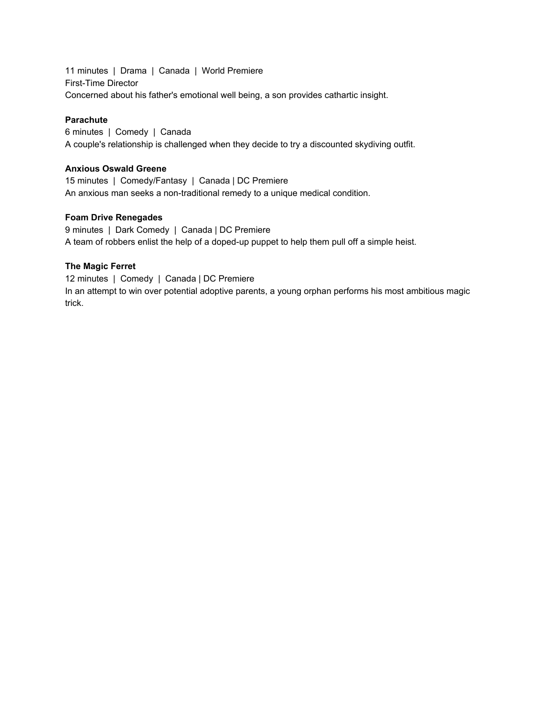11 minutes | Drama | Canada | World Premiere First-Time Director Concerned about his father's emotional well being, a son provides cathartic insight.

## **Parachute**

6 minutes | Comedy | Canada A couple's relationship is challenged when they decide to try a discounted skydiving outfit.

#### **Anxious Oswald Greene**

15 minutes | Comedy/Fantasy | Canada | DC Premiere An anxious man seeks a non-traditional remedy to a unique medical condition.

## **Foam Drive Renegades**

9 minutes | Dark Comedy | Canada | DC Premiere A team of robbers enlist the help of a doped-up puppet to help them pull off a simple heist.

## **The Magic Ferret**

12 minutes | Comedy | Canada | DC Premiere In an attempt to win over potential adoptive parents, a young orphan performs his most ambitious magic trick.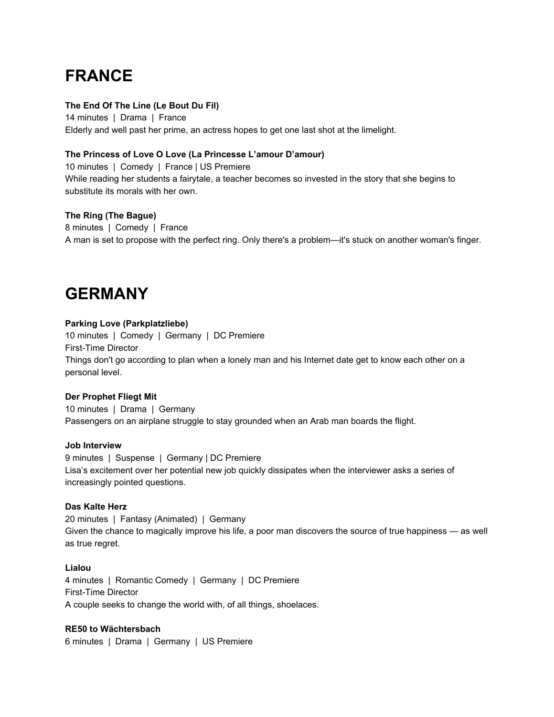## **FRANCE**

## **The End Of The Line (Le Bout Du Fil)**

14 minutes | Drama | France Elderly and well past her prime, an actress hopes to get one last shot at the limelight.

## **The Princess of Love O Love (La Princesse L'amour D'amour)**

10 minutes | Comedy | France | US Premiere While reading her students a fairytale, a teacher becomes so invested in the story that she begins to substitute its morals with her own.

## **The Ring (The Bague)**

8 minutes | Comedy | France A man is set to propose with the perfect ring. Only there's a problem—it's stuck on another woman's finger.

## **GERMANY**

## **Parking Love (Parkplatzliebe)**

10 minutes | Comedy | Germany | DC Premiere First-Time Director Things don't go according to plan when a lonely man and his Internet date get to know each other on a personal level.

#### **Der Prophet Fliegt Mit**

10 minutes | Drama | Germany Passengers on an airplane struggle to stay grounded when an Arab man boards the flight.

#### **Job Interview**

9 minutes | Suspense | Germany | DC Premiere Lisa's excitement over her potential new job quickly dissipates when the interviewer asks a series of increasingly pointed questions.

#### **Das Kalte Herz**

20 minutes | Fantasy (Animated) | Germany Given the chance to magically improve his life, a poor man discovers the source of true happiness — as well as true regret.

#### **Lialou**

4 minutes | Romantic Comedy | Germany | DC Premiere First-Time Director A couple seeks to change the world with, of all things, shoelaces.

#### **RE50 to Wächtersbach**

6 minutes | Drama | Germany | US Premiere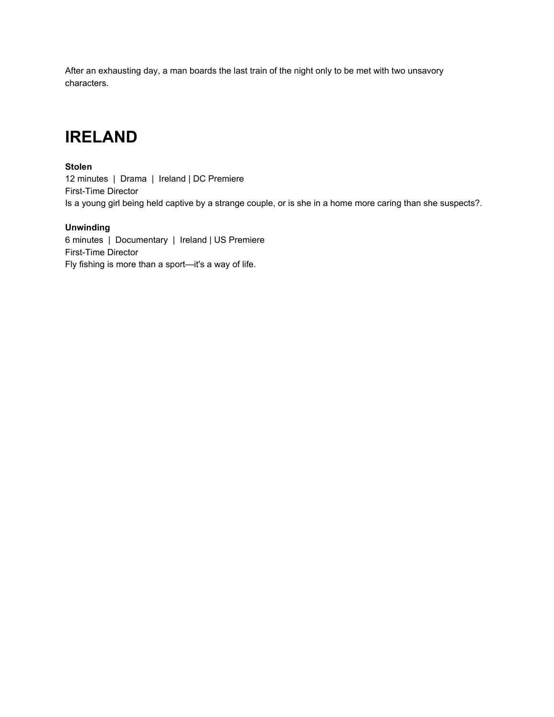After an exhausting day, a man boards the last train of the night only to be met with two unsavory characters.

## **IRELAND**

## **Stolen**

12 minutes | Drama | Ireland | DC Premiere First-Time Director Is a young girl being held captive by a strange couple, or is she in a home more caring than she suspects?.

## **Unwinding**

6 minutes | Documentary | Ireland | US Premiere First-Time Director Fly fishing is more than a sport—it's a way of life.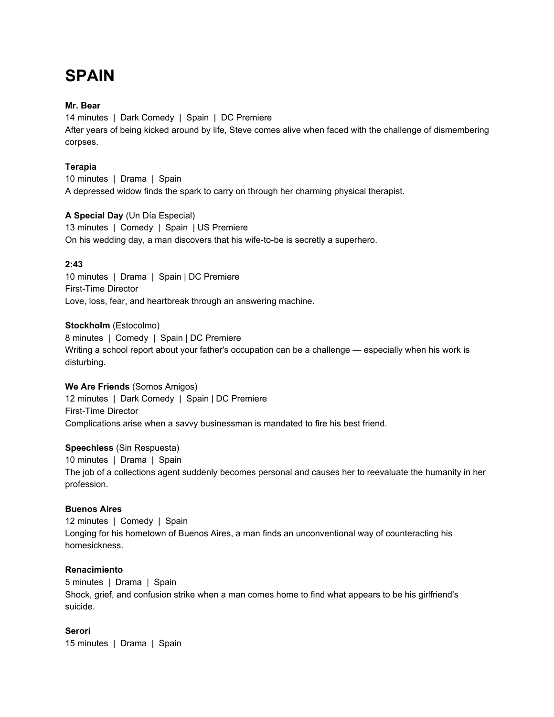## **SPAIN**

#### **Mr. Bear**

14 minutes | Dark Comedy | Spain | DC Premiere After years of being kicked around by life, Steve comes alive when faced with the challenge of dismembering corpses.

## **Terapia**

10 minutes | Drama | Spain A depressed widow finds the spark to carry on through her charming physical therapist.

## **A Special Day** (Un Día Especial)

13 minutes | Comedy | Spain | US Premiere On his wedding day, a man discovers that his wife-to-be is secretly a superhero.

## **2:43**

10 minutes | Drama | Spain | DC Premiere First-Time Director Love, loss, fear, and heartbreak through an answering machine.

## **Stockholm** (Estocolmo)

8 minutes | Comedy | Spain | DC Premiere Writing a school report about your father's occupation can be a challenge — especially when his work is disturbing.

#### **We Are Friends** (Somos Amigos)

12 minutes | Dark Comedy | Spain | DC Premiere First-Time Director Complications arise when a savvy businessman is mandated to fire his best friend.

## **Speechless** (Sin Respuesta)

10 minutes | Drama | Spain The job of a collections agent suddenly becomes personal and causes her to reevaluate the humanity in her profession.

## **Buenos Aires**

12 minutes | Comedy | Spain Longing for his hometown of Buenos Aires, a man finds an unconventional way of counteracting his homesickness.

#### **Renacimiento**

5 minutes | Drama | Spain Shock, grief, and confusion strike when a man comes home to find what appears to be his girlfriend's suicide.

## **Serori**

15 minutes | Drama | Spain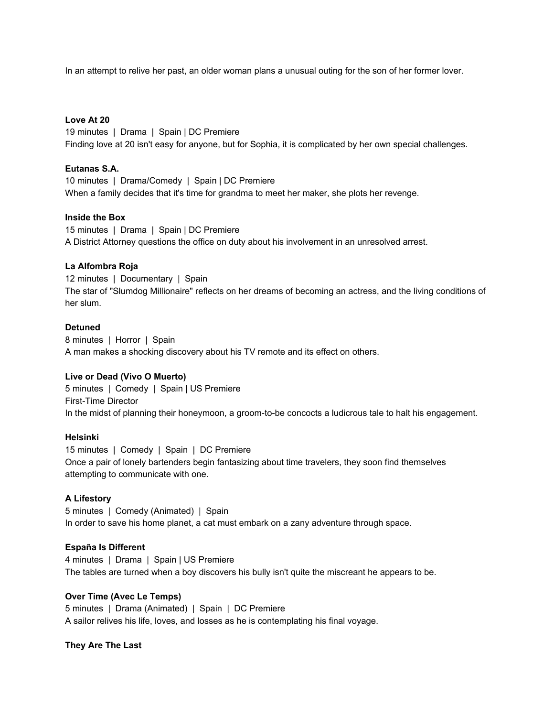In an attempt to relive her past, an older woman plans a unusual outing for the son of her former lover.

#### **Love At 20**

19 minutes | Drama | Spain | DC Premiere Finding love at 20 isn't easy for anyone, but for Sophia, it is complicated by her own special challenges.

#### **Eutanas S.A.**

10 minutes | Drama/Comedy | Spain | DC Premiere When a family decides that it's time for grandma to meet her maker, she plots her revenge.

## **Inside the Box**

15 minutes | Drama | Spain | DC Premiere A District Attorney questions the office on duty about his involvement in an unresolved arrest.

## **La Alfombra Roja**

12 minutes | Documentary | Spain The star of "Slumdog Millionaire" reflects on her dreams of becoming an actress, and the living conditions of her slum.

## **Detuned**

8 minutes | Horror | Spain A man makes a shocking discovery about his TV remote and its effect on others.

#### **Live or Dead (Vivo O Muerto)**

5 minutes | Comedy | Spain | US Premiere First-Time Director In the midst of planning their honeymoon, a groom-to-be concocts a ludicrous tale to halt his engagement.

#### **Helsinki**

15 minutes | Comedy | Spain | DC Premiere Once a pair of lonely bartenders begin fantasizing about time travelers, they soon find themselves attempting to communicate with one.

#### **A Lifestory**

5 minutes | Comedy (Animated) | Spain In order to save his home planet, a cat must embark on a zany adventure through space.

## **España Is Different**

4 minutes | Drama | Spain | US Premiere The tables are turned when a boy discovers his bully isn't quite the miscreant he appears to be.

## **Over Time (Avec Le Temps)**

5 minutes | Drama (Animated) | Spain | DC Premiere A sailor relives his life, loves, and losses as he is contemplating his final voyage.

**They Are The Last**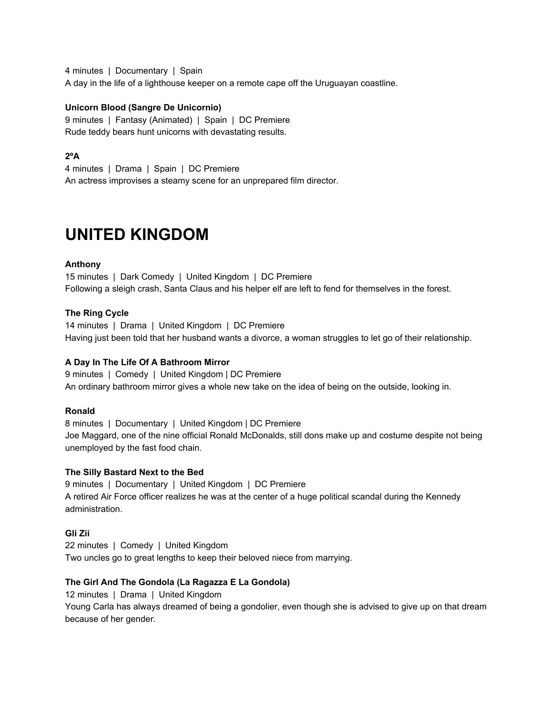4 minutes | Documentary | Spain A day in the life of a lighthouse keeper on a remote cape off the Uruguayan coastline.

## **Unicorn Blood (Sangre De Unicornio)**

9 minutes | Fantasy (Animated) | Spain | DC Premiere Rude teddy bears hunt unicorns with devastating results.

## **2ºA**

4 minutes | Drama | Spain | DC Premiere An actress improvises a steamy scene for an unprepared film director.

## **UNITED KINGDOM**

## **Anthony**

15 minutes | Dark Comedy | United Kingdom | DC Premiere Following a sleigh crash, Santa Claus and his helper elf are left to fend for themselves in the forest.

## **The Ring Cycle**

14 minutes | Drama | United Kingdom | DC Premiere Having just been told that her husband wants a divorce, a woman struggles to let go of their relationship.

#### **A Day In The Life Of A Bathroom Mirror**

9 minutes | Comedy | United Kingdom | DC Premiere An ordinary bathroom mirror gives a whole new take on the idea of being on the outside, looking in.

#### **Ronald**

8 minutes | Documentary | United Kingdom | DC Premiere Joe Maggard, one of the nine official Ronald McDonalds, still dons make up and costume despite not being unemployed by the fast food chain.

#### **The Silly Bastard Next to the Bed**

9 minutes | Documentary | United Kingdom | DC Premiere A retired Air Force officer realizes he was at the center of a huge political scandal during the Kennedy administration.

#### **Gli Zii**

22 minutes | Comedy | United Kingdom Two uncles go to great lengths to keep their beloved niece from marrying.

#### **The Girl And The Gondola (La Ragazza E La Gondola)**

12 minutes | Drama | United Kingdom

Young Carla has always dreamed of being a gondolier, even though she is advised to give up on that dream because of her gender.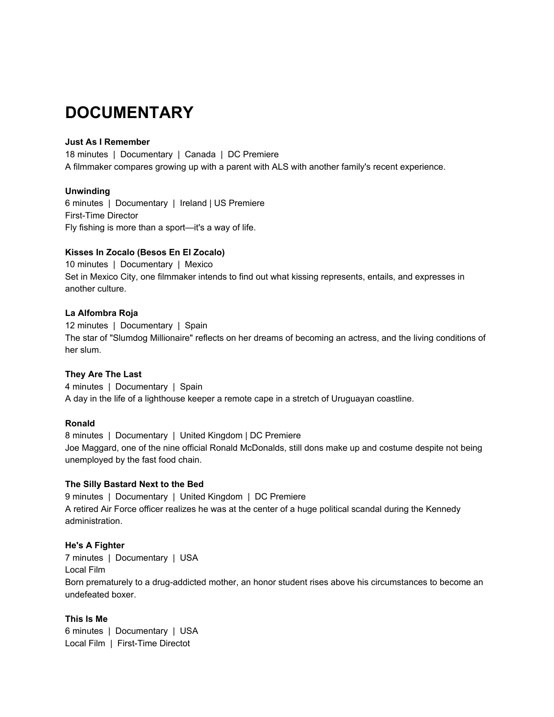## **DOCUMENTARY**

## **Just As I Remember**

18 minutes | Documentary | Canada | DC Premiere A filmmaker compares growing up with a parent with ALS with another family's recent experience.

## **Unwinding**

6 minutes | Documentary | Ireland | US Premiere First-Time Director Fly fishing is more than a sport—it's a way of life.

## **Kisses In Zocalo (Besos En El Zocalo)**

10 minutes | Documentary | Mexico Set in Mexico City, one filmmaker intends to find out what kissing represents, entails, and expresses in another culture.

## **La Alfombra Roja**

12 minutes | Documentary | Spain The star of "Slumdog Millionaire" reflects on her dreams of becoming an actress, and the living conditions of her slum.

#### **They Are The Last**

4 minutes | Documentary | Spain A day in the life of a lighthouse keeper a remote cape in a stretch of Uruguayan coastline.

#### **Ronald**

8 minutes | Documentary | United Kingdom | DC Premiere Joe Maggard, one of the nine official Ronald McDonalds, still dons make up and costume despite not being unemployed by the fast food chain.

#### **The Silly Bastard Next to the Bed**

9 minutes | Documentary | United Kingdom | DC Premiere A retired Air Force officer realizes he was at the center of a huge political scandal during the Kennedy administration.

## **He's A Fighter**

7 minutes | Documentary | USA Local Film Born prematurely to a drug-addicted mother, an honor student rises above his circumstances to become an undefeated boxer.

#### **This Is Me**

6 minutes | Documentary | USA Local Film | First-Time Directot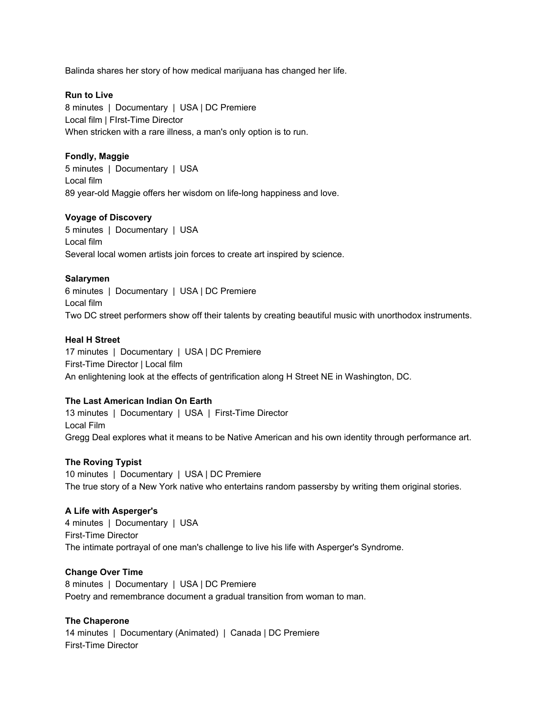Balinda shares her story of how medical marijuana has changed her life.

## **Run to Live**

8 minutes | Documentary | USA | DC Premiere Local film | FIrst-Time Director When stricken with a rare illness, a man's only option is to run.

## **Fondly, Maggie**

5 minutes | Documentary | USA Local film 89 year-old Maggie offers her wisdom on life-long happiness and love.

## **Voyage of Discovery**

5 minutes | Documentary | USA Local film Several local women artists join forces to create art inspired by science.

## **Salarymen**

6 minutes | Documentary | USA | DC Premiere Local film Two DC street performers show off their talents by creating beautiful music with unorthodox instruments.

## **Heal H Street**

17 minutes | Documentary | USA | DC Premiere First-Time Director | Local film An enlightening look at the effects of gentrification along H Street NE in Washington, DC.

## **The Last American Indian On Earth**

13 minutes | Documentary | USA | First-Time Director Local Film Gregg Deal explores what it means to be Native American and his own identity through performance art.

## **The Roving Typist**

10 minutes | Documentary | USA | DC Premiere The true story of a New York native who entertains random passersby by writing them original stories.

## **A Life with Asperger's**

4 minutes | Documentary | USA First-Time Director The intimate portrayal of one man's challenge to live his life with Asperger's Syndrome.

#### **Change Over Time**

8 minutes | Documentary | USA | DC Premiere Poetry and remembrance document a gradual transition from woman to man.

## **The Chaperone**

14 minutes | Documentary (Animated) | Canada | DC Premiere First-Time Director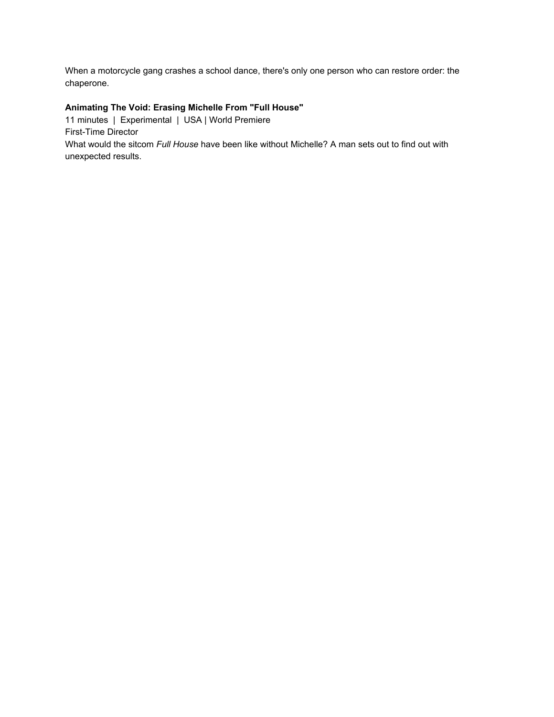When a motorcycle gang crashes a school dance, there's only one person who can restore order: the chaperone.

## **Animating The Void: Erasing Michelle From "Full House"**

11 minutes | Experimental | USA | World Premiere First-Time Director What would the sitcom *Full House* have been like without Michelle? A man sets out to find out with unexpected results.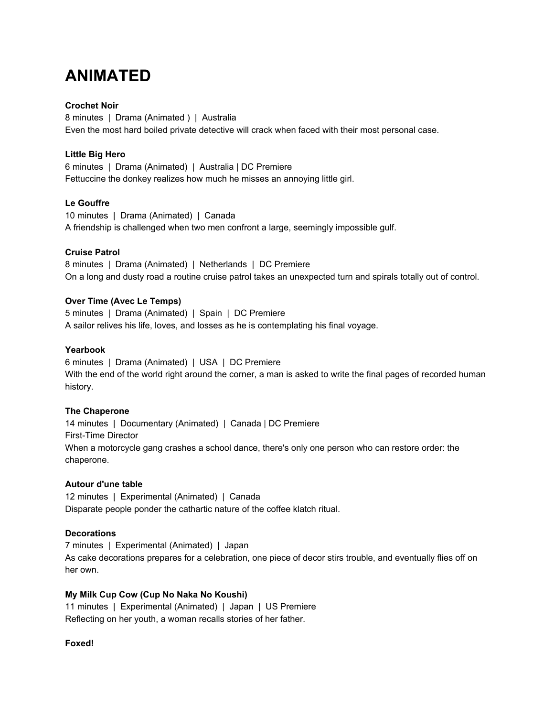## **ANIMATED**

## **Crochet Noir**

8 minutes | Drama (Animated ) | Australia Even the most hard boiled private detective will crack when faced with their most personal case.

## **Little Big Hero**

6 minutes | Drama (Animated) | Australia | DC Premiere Fettuccine the donkey realizes how much he misses an annoying little girl.

## **Le Gouffre**

10 minutes | Drama (Animated) | Canada A friendship is challenged when two men confront a large, seemingly impossible gulf.

## **Cruise Patrol**

8 minutes | Drama (Animated) | Netherlands | DC Premiere On a long and dusty road a routine cruise patrol takes an unexpected turn and spirals totally out of control.

## **Over Time (Avec Le Temps)**

5 minutes | Drama (Animated) | Spain | DC Premiere A sailor relives his life, loves, and losses as he is contemplating his final voyage.

## **Yearbook**

6 minutes | Drama (Animated) | USA | DC Premiere With the end of the world right around the corner, a man is asked to write the final pages of recorded human history.

#### **The Chaperone**

14 minutes | Documentary (Animated) | Canada | DC Premiere First-Time Director When a motorcycle gang crashes a school dance, there's only one person who can restore order: the chaperone.

#### **Autour d'une table**

12 minutes | Experimental (Animated) | Canada Disparate people ponder the cathartic nature of the coffee klatch ritual.

#### **Decorations**

7 minutes | Experimental (Animated) | Japan As cake decorations prepares for a celebration, one piece of decor stirs trouble, and eventually flies off on her own.

## **My Milk Cup Cow (Cup No Naka No Koushi)**

11 minutes | Experimental (Animated) | Japan | US Premiere Reflecting on her youth, a woman recalls stories of her father.

#### **Foxed!**